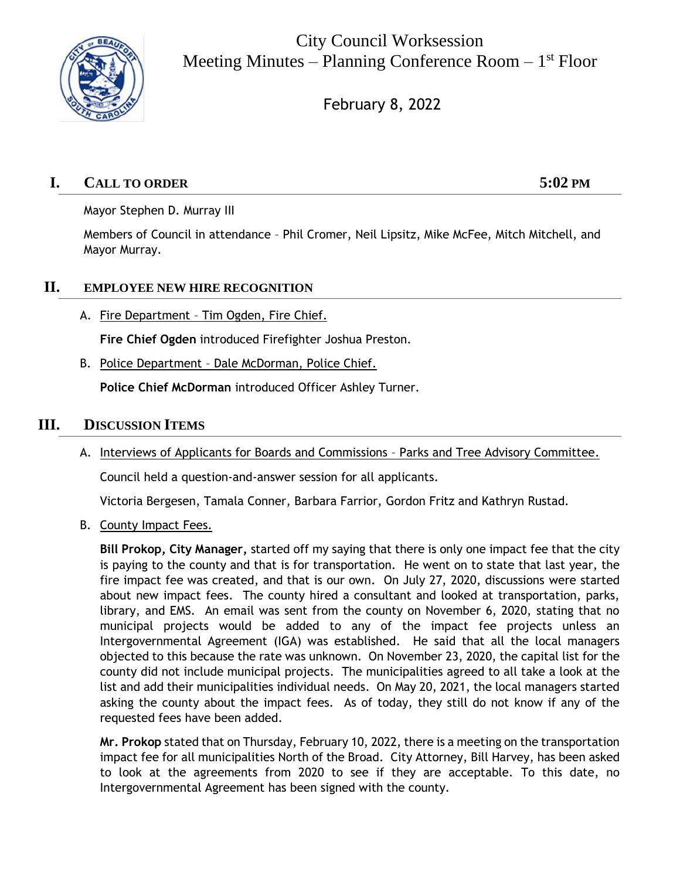

City Council Worksession Meeting Minutes – Planning Conference Room – 1<sup>st</sup> Floor

February 8, 2022

# **I. CALL TO ORDER 5:02 PM**

Mayor Stephen D. Murray III

Members of Council in attendance – Phil Cromer, Neil Lipsitz, Mike McFee, Mitch Mitchell, and Mayor Murray.

#### **II. EMPLOYEE NEW HIRE RECOGNITION**

A. Fire Department - Tim Ogden, Fire Chief.

**Fire Chief Ogden** introduced Firefighter Joshua Preston.

B. Police Department - Dale McDorman, Police Chief.

**Police Chief McDorman** introduced Officer Ashley Turner.

## **III. DISCUSSION ITEMS**

A. Interviews of Applicants for Boards and Commissions – Parks and Tree Advisory Committee.

Council held a question-and-answer session for all applicants.

Victoria Bergesen, Tamala Conner, Barbara Farrior, Gordon Fritz and Kathryn Rustad.

B. County Impact Fees.

**Bill Prokop, City Manager,** started off my saying that there is only one impact fee that the city is paying to the county and that is for transportation. He went on to state that last year, the fire impact fee was created, and that is our own. On July 27, 2020, discussions were started about new impact fees. The county hired a consultant and looked at transportation, parks, library, and EMS. An email was sent from the county on November 6, 2020, stating that no municipal projects would be added to any of the impact fee projects unless an Intergovernmental Agreement (IGA) was established. He said that all the local managers objected to this because the rate was unknown. On November 23, 2020, the capital list for the county did not include municipal projects. The municipalities agreed to all take a look at the list and add their municipalities individual needs. On May 20, 2021, the local managers started asking the county about the impact fees. As of today, they still do not know if any of the requested fees have been added.

**Mr. Prokop** stated that on Thursday, February 10, 2022, there is a meeting on the transportation impact fee for all municipalities North of the Broad. City Attorney, Bill Harvey, has been asked to look at the agreements from 2020 to see if they are acceptable. To this date, no Intergovernmental Agreement has been signed with the county.